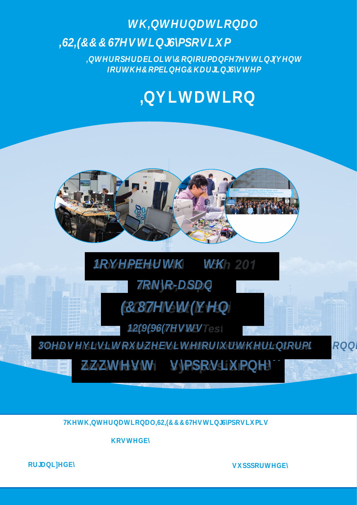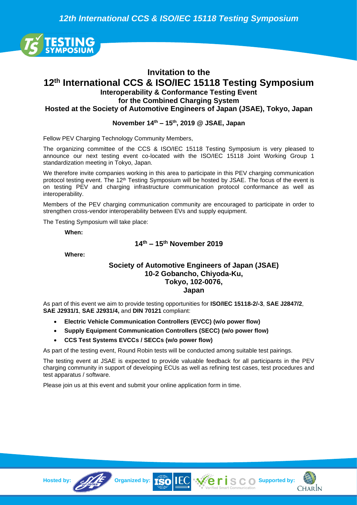*12th International CCS & ISO/IEC 15118 Testing Symposium*



# **Invitation to the 12 th International CCS & ISO/IEC 15118 Testing Symposium Interoperability & Conformance Testing Event for the Combined Charging System**

**Hosted at the Society of Automotive Engineers of Japan (JSAE), Tokyo, Japan**

#### **November 14 th – 15 th, 2019 @ JSAE, Japan**

Fellow PEV Charging Technology Community Members,

The organizing committee of the CCS & ISO/IEC 15118 Testing Symposium is very pleased to announce our next testing event co-located with the ISO/IEC 15118 Joint Working Group 1 standardization meeting in Tokyo, Japan.

We therefore invite companies working in this area to participate in this PEV charging communication protocol testing event. The 12<sup>th</sup> Testing Symposium will be hosted by JSAE. The focus of the event is on testing PEV and charging infrastructure communication protocol conformance as well as interoperability.

Members of the PEV charging communication community are encouraged to participate in order to strengthen cross-vendor interoperability between EVs and supply equipment.

The Testing Symposium will take place:

**When:**

## **14 th – 15 th November 2019**

**Where:**

#### **Society of Automotive Engineers of Japan (JSAE) 10-2 Gobancho, Chiyoda-Ku, Tokyo, 102-0076, Japan**

As part of this event we aim to provide testing opportunities for **ISO/IEC 15118-2/-3**, **SAE J2847/2**, **SAE J2931/1**, **SAE J2931/4,** and **DIN 70121** compliant:

- **Electric Vehicle Communication Controllers (EVCC) (w/o power flow)**
- **Supply Equipment Communication Controllers (SECC) (w/o power flow)**
- **CCS Test Systems EVCCs / SECCs (w/o power flow)**

As part of the testing event, Round Robin tests will be conducted among suitable test pairings.

The testing event at JSAE is expected to provide valuable feedback for all participants in the PEV charging community in support of developing ECUs as well as refining test cases, test procedures and test apparatus / software.

Please join us at this event and submit your online application form in time.





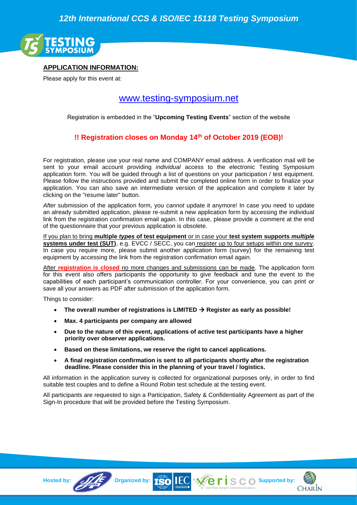

## **APPLICATION INFORMATION:**

Please apply for this event at:

# [www.testing-symposium.net](http://www.testing-symposium.net/)

Registration is embedded in the "**Upcoming Testing Events**" section of the website

# **!! Registration closes on Monday 14 th of October 2019 (EOB)!**

For registration, please use your real name and COMPANY email address. A verification mail will be sent to your email account providing *individual* access to the electronic Testing Symposium application form. You will be guided through a list of questions on your participation / test equipment. Please follow the instructions provided and submit the completed online form in order to finalize your application. You can also save an intermediate version of the application and complete it later by clicking on the "resume later" button.

*After* submission of the application form, you *cannot* update it anymore! In case you need to update an already submitted application, please re-submit a new application form by accessing the individual link from the registration confirmation email again. In this case, please provide a comment at the end of the questionnaire that your previous application is obsolete.

If you plan to bring **multiple** *types* **of test equipment** or in case your **test system supports** *multiple* **systems under test (SUT)**, e.g. EVCC / SECC, you can register up to four setups within one survey. In case you require more, please submit another application form (survey) for the remaining test equipment by accessing the link from the registration confirmation email again.

After **registration is closed** no more changes and submissions can be made. The application form for this event also offers participants the opportunity to give feedback and tune the event to the capabilities of each participant's communication controller. For your convenience, you can print or save all your answers as PDF after submission of the application form.

Things to consider:

- **The overall number of registrations is LIMITED** → **Register as early as possible!**
- **Max. 4 participants per company are allowed**
- **Due to the nature of this event, applications of active test participants have a higher priority over observer applications.**
- **Based on these limitations, we reserve the right to cancel applications.**
- **A final registration confirmation is sent to all participants shortly after the registration deadline. Please consider this in the planning of your travel / logistics.**

All information in the application survey is collected for organizational purposes only, in order to find suitable test couples and to define a Round Robin test schedule at the testing event.

All participants are requested to sign a Participation, Safety & Confidentiality Agreement as part of the Sign-In procedure that will be provided before the Testing Symposium.



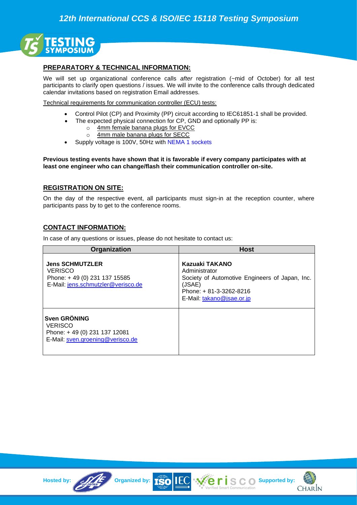

### **PREPARATORY & TECHNICAL INFORMATION:**

We will set up organizational conference calls *after* registration (~mid of October) for all test participants to clarify open questions / issues. We will invite to the conference calls through dedicated calendar invitations based on registration Email addresses.

Technical requirements for communication controller (ECU) tests:

- Control Pilot (CP) and Proximity (PP) circuit according to IEC61851-1 shall be provided.
- The expected physical connection for CP, GND and optionally PP is:
	- o 4mm female banana plugs for EVCC
	- o 4mm male banana plugs for SECC
- Supply voltage is 100V, 50Hz with [NEMA 1 sockets](http://en.wikipedia.org/wiki/NEMA_connector#NEMA_1)

**Previous testing events have shown that it is favorable if every company participates with at least one engineer who can change/flash their communication controller on-site.**

#### **REGISTRATION ON SITE:**

On the day of the respective event, all participants must sign-in at the reception counter, where participants pass by to get to the conference rooms.

#### **CONTACT INFORMATION:**

In case of any questions or issues, please do not hesitate to contact us:

| <b>Organization</b>                                                                                            | <b>Host</b>                                                                                                                                        |
|----------------------------------------------------------------------------------------------------------------|----------------------------------------------------------------------------------------------------------------------------------------------------|
| <b>Jens SCHMUTZLER</b><br><b>VERISCO</b><br>Phone: +49 (0) 231 137 15585<br>E-Mail: jens.schmutzler@verisco.de | Kazuaki TAKANO<br>Administrator<br>Society of Automotive Engineers of Japan, Inc.<br>(JSAE)<br>Phone: +81-3-3262-8216<br>E-Mail: takano@jsae.or.jp |
| <b>Sven GRÖNING</b><br><b>VERISCO</b><br>Phone: +49 (0) 231 137 12081<br>E-Mail: sven.groening@verisco.de      |                                                                                                                                                    |

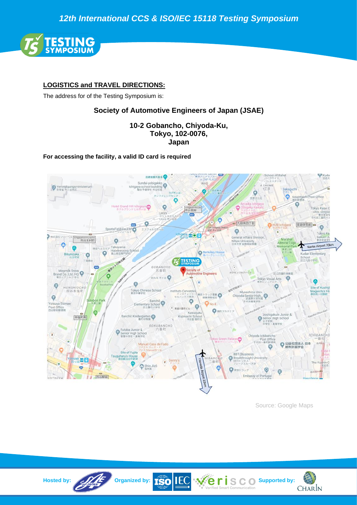*12th International CCS & ISO/IEC 15118 Testing Symposium*



# **LOGISTICS and TRAVEL DIRECTIONS:**

The address for of the Testing Symposium is:

# **Society of Automotive Engineers of Japan (JSAE)**

## **10-2 Gobancho, Chiyoda-Ku, Tokyo, 102-0076, Japan**

#### **For accessing the facility, a valid ID card is required**



Source: Google Maps

**CHARIN**